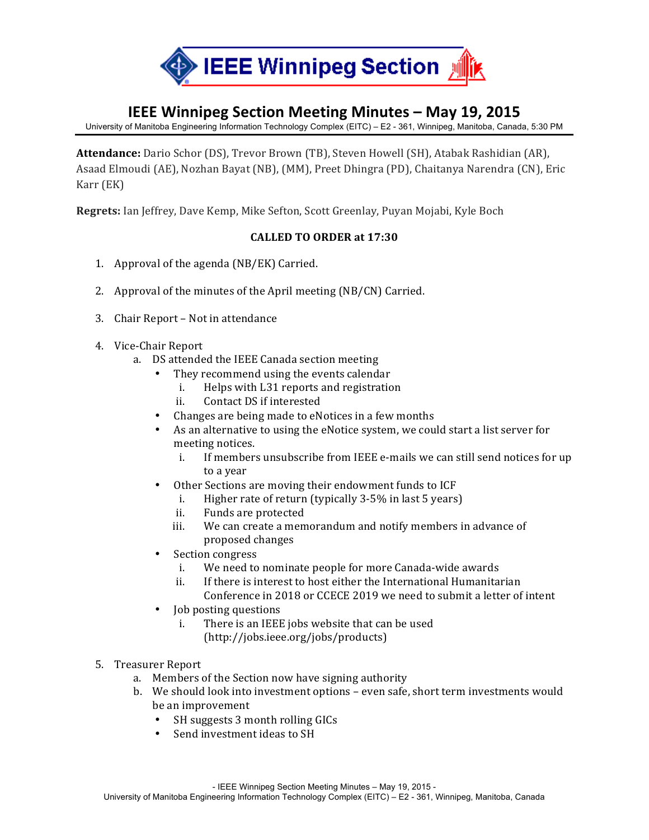

# **IEEE Winnipeg Section Meeting Minutes – May 19, 2015**

University of Manitoba Engineering Information Technology Complex (EITC) – E2 - 361, Winnipeg, Manitoba, Canada, 5:30 PM

**Attendance:** Dario Schor (DS), Trevor Brown (TB), Steven Howell (SH), Atabak Rashidian (AR), Asaad Elmoudi (AE), Nozhan Bayat (NB), (MM), Preet Dhingra (PD), Chaitanya Narendra (CN), Eric Karr (EK)

**Regrets:** Ian Jeffrey, Dave Kemp, Mike Sefton, Scott Greenlay, Puyan Mojabi, Kyle Boch

### **CALLED)TO)ORDER at 17:30**

- 1. Approval of the agenda  $(NB/EK)$  Carried.
- 2. Approval of the minutes of the April meeting (NB/CN) Carried.
- 3. Chair Report Not in attendance
- 4. Vice-Chair Report
	- a. DS attended the IEEE Canada section meeting
		- They recommend using the events calendar
			- i. Helps with L31 reports and registration
			- ii. Contact DS if interested
		- Changes are being made to eNotices in a few months
		- As an alternative to using the eNotice system, we could start a list server for meeting notices.
			- i. If members unsubscribe from IEEE  $e$ -mails we can still send notices for up to a year
			- Other Sections are moving their endowment funds to ICF
				- i. Higher rate of return (typically  $3-5\%$  in last 5 years)
				- ii. Funds are protected
				- iii. We can create a memorandum and notify members in advance of proposed changes
		- Section congress
			- i. We need to nominate people for more Canada-wide awards
			- ii. If there is interest to host either the International Humanitarian
			- Conference in 2018 or CCECE 2019 we need to submit a letter of intent
		- Job posting questions
			- i. There is an IEEE jobs website that can be used
				- (http://jobs.ieee.org/jobs/products)
- 5. Treasurer Report
	- a. Members of the Section now have signing authority
	- b. We should look into investment options even safe, short term investments would be an improvement
		- SH suggests 3 month rolling GICs
		- Send investment ideas to SH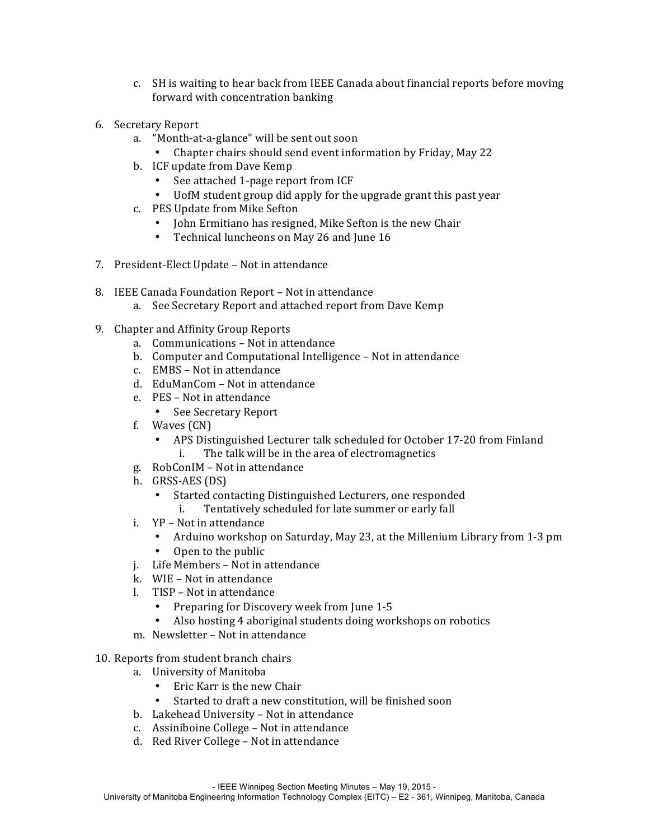- c. SH is waiting to hear back from IEEE Canada about financial reports before moving forward with concentration banking
- 6. Secretary Report
	- a. "Month-at-a-glance" will be sent out soon
		- Chapter chairs should send event information by Friday, May 22
	- b. ICF update from Dave Kemp
		- See attached 1-page report from ICF
		- UofM student group did apply for the upgrade grant this past year
	- c. PES Update from Mike Sefton
		- John Ermitiano has resigned, Mike Sefton is the new Chair
		- Technical luncheons on May 26 and June 16
- 7. President-Elect Update Not in attendance
- 8. IEEE Canada Foundation Report Not in attendance
	- a. See Secretary Report and attached report from Dave Kemp
- 9. Chapter and Affinity Group Reports
	- a. Communications Not in attendance
	- b. Computer and Computational Intelligence Not in attendance
	- $c.$  EMBS Not in attendance
	- d. EduManCom Not in attendance
	- e. PES Not in attendance
		- See Secretary Report
	- f. Waves  $(CN)$ 
		- APS Distinguished Lecturer talk scheduled for October 17-20 from Finland i. The talk will be in the area of electromagnetics
	- g. RobConIM Not in attendance
	- $h.$  GRSS-AES (DS)
		- Started contacting Distinguished Lecturers, one responded
			- i. Tentatively scheduled for late summer or early fall
	- i.  $YP Not$  in attendance
		- Arduino workshop on Saturday, May 23, at the Millenium Library from 1-3 pm
		- Open to the public
	- j. Life Members Not in attendance
	- k. WIE Not in attendance
	- $l.$  TISP Not in attendance
		- Preparing for Discovery week from June 1-5
		- Also hosting 4 aboriginal students doing workshops on robotics
	- m. Newsletter Not in attendance
- 10. Reports from student branch chairs
	- a. University of Manitoba
		- $\bullet$  Eric Karr is the new Chair
		- Started to draft a new constitution, will be finished soon
	- b. Lakehead University Not in attendance
	- c. Assiniboine College Not in attendance
	- d. Red River College Not in attendance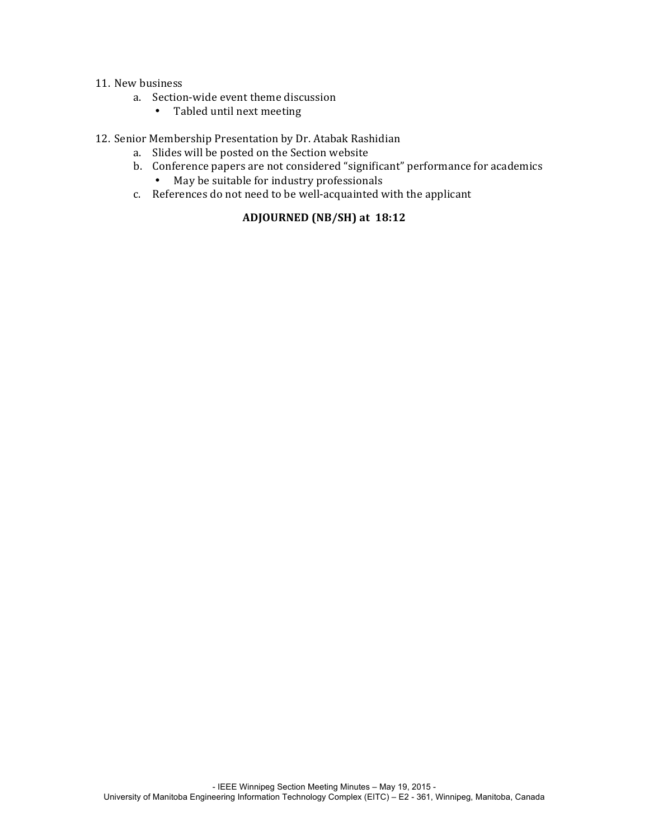#### 11. New business

- a. Section-wide event theme discussion
	- Tabled until next meeting

#### 12. Senior Membership Presentation by Dr. Atabak Rashidian

- a. Slides will be posted on the Section website
- b. Conference papers are not considered "significant" performance for academics
	- May be suitable for industry professionals
- c. References do not need to be well-acquainted with the applicant

## **ADJOURNED (NB/SH) at))18:12**